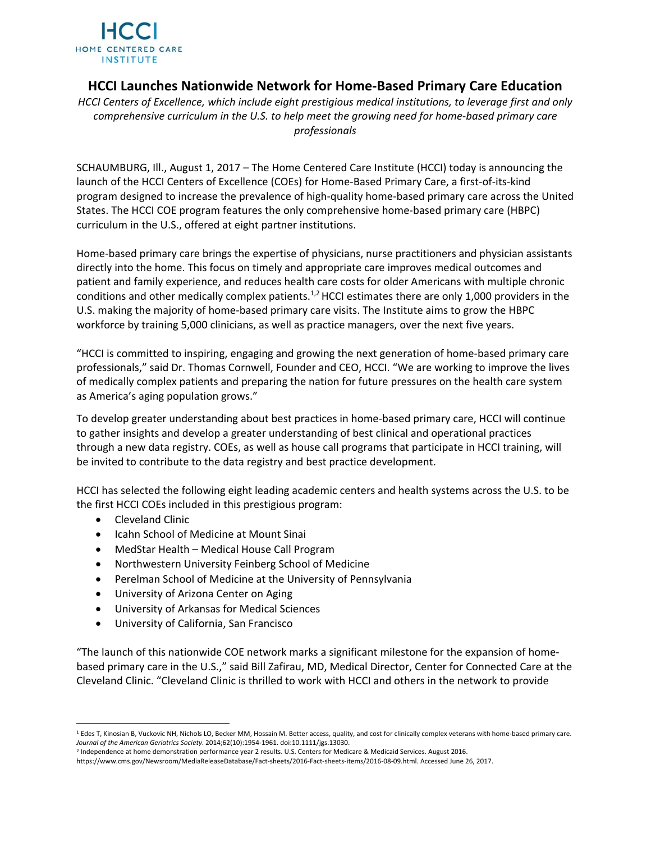

## **HCCI Launches Nationwide Network for Home‐Based Primary Care Education**

*HCCI Centers of Excellence, which include eight prestigious medical institutions, to leverage first and only comprehensive curriculum in the U.S. to help meet the growing need for home‐based primary care professionals* 

SCHAUMBURG, Ill., August 1, 2017 – The Home Centered Care Institute (HCCI) today is announcing the launch of the HCCI Centers of Excellence (COEs) for Home‐Based Primary Care, a first‐of‐its‐kind program designed to increase the prevalence of high‐quality home‐based primary care across the United States. The HCCI COE program features the only comprehensive home‐based primary care (HBPC) curriculum in the U.S., offered at eight partner institutions.

Home‐based primary care brings the expertise of physicians, nurse practitioners and physician assistants directly into the home. This focus on timely and appropriate care improves medical outcomes and patient and family experience, and reduces health care costs for older Americans with multiple chronic conditions and other medically complex patients.<sup>1,2</sup> HCCI estimates there are only 1,000 providers in the U.S. making the majority of home‐based primary care visits. The Institute aims to grow the HBPC workforce by training 5,000 clinicians, as well as practice managers, over the next five years.

"HCCI is committed to inspiring, engaging and growing the next generation of home‐based primary care professionals," said Dr. Thomas Cornwell, Founder and CEO, HCCI. "We are working to improve the lives of medically complex patients and preparing the nation for future pressures on the health care system as America's aging population grows."

To develop greater understanding about best practices in home‐based primary care, HCCI will continue to gather insights and develop a greater understanding of best clinical and operational practices through a new data registry. COEs, as well as house call programs that participate in HCCI training, will be invited to contribute to the data registry and best practice development.

HCCI has selected the following eight leading academic centers and health systems across the U.S. to be the first HCCI COEs included in this prestigious program:

- Cleveland Clinic
- Icahn School of Medicine at Mount Sinai
- MedStar Health Medical House Call Program
- Northwestern University Feinberg School of Medicine
- Perelman School of Medicine at the University of Pennsylvania
- University of Arizona Center on Aging
- University of Arkansas for Medical Sciences
- University of California, San Francisco

"The launch of this nationwide COE network marks a significant milestone for the expansion of home‐ based primary care in the U.S.," said Bill Zafirau, MD, Medical Director, Center for Connected Care at the Cleveland Clinic. "Cleveland Clinic is thrilled to work with HCCI and others in the network to provide

 1 Edes T, Kinosian B, Vuckovic NH, Nichols LO, Becker MM, Hossain M. Better access, quality, and cost for clinically complex veterans with home-based primary care. *Journal of the American Geriatrics Society*. 2014;62(10):1954‐1961. doi:10.1111/jgs.13030.

<sup>2</sup> Independence at home demonstration performance year 2 results. U.S. Centers for Medicare & Medicaid Services. August 2016.

https://www.cms.gov/Newsroom/MediaReleaseDatabase/Fact‐sheets/2016‐Fact‐sheets‐items/2016‐08‐09.html. Accessed June 26, 2017.